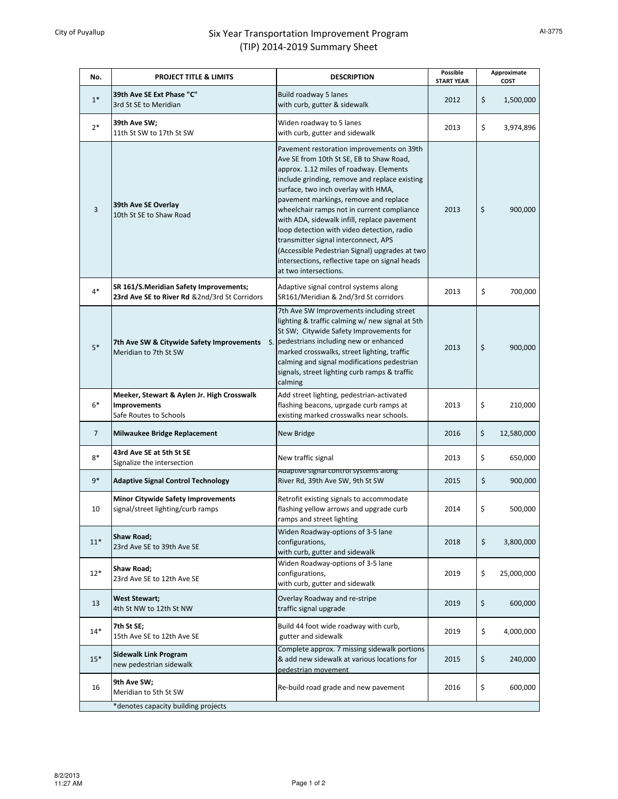## City of Puyallup **Six Year Transportation Improvement Program** (TIP) 2014-2019 Summary Sheet

| No.                                 | <b>PROJECT TITLE &amp; LIMITS</b>                                                       | <b>DESCRIPTION</b>                                                                                                                                                                                                                                                                                                                                                                                                                                                                                                                                                                | Possible<br><b>START YEAR</b> | Approximate<br>COST |            |  |
|-------------------------------------|-----------------------------------------------------------------------------------------|-----------------------------------------------------------------------------------------------------------------------------------------------------------------------------------------------------------------------------------------------------------------------------------------------------------------------------------------------------------------------------------------------------------------------------------------------------------------------------------------------------------------------------------------------------------------------------------|-------------------------------|---------------------|------------|--|
| $1*$                                | 39th Ave SE Ext Phase "C"<br>3rd St SE to Meridian                                      | Build roadway 5 lanes<br>with curb, gutter & sidewalk                                                                                                                                                                                                                                                                                                                                                                                                                                                                                                                             | 2012                          | \$                  | 1,500,000  |  |
| $2*$                                | 39th Ave SW;<br>11th St SW to 17th St SW                                                | Widen roadway to 5 lanes<br>with curb, gutter and sidewalk                                                                                                                                                                                                                                                                                                                                                                                                                                                                                                                        | 2013                          | \$                  | 3,974,896  |  |
| 3                                   | 39th Ave SE Overlay<br>10th St SE to Shaw Road                                          | Pavement restoration improvements on 39th<br>Ave SE from 10th St SE, EB to Shaw Road,<br>approx. 1.12 miles of roadway. Elements<br>include grinding, remove and replace existing<br>surface, two inch overlay with HMA,<br>pavement markings, remove and replace<br>wheelchair ramps not in current compliance<br>with ADA, sidewalk infill, replace pavement<br>loop detection with video detection, radio<br>transmitter signal interconnect, APS<br>(Accessible Pedestrian Signal) upgrades at two<br>intersections, reflective tape on signal heads<br>at two intersections. | 2013                          | \$                  | 900,000    |  |
| $4*$                                | SR 161/S.Meridian Safety Improvements;<br>23rd Ave SE to River Rd &2nd/3rd St Corridors | Adaptive signal control systems along<br>SR161/Meridian & 2nd/3rd St corridors                                                                                                                                                                                                                                                                                                                                                                                                                                                                                                    | 2013                          | \$                  | 700,000    |  |
| $5*$                                | 7th Ave SW & Citywide Safety Improvements<br>Meridian to 7th St SW                      | 7th Ave SW Improvements including street<br>lighting & traffic calming w/ new signal at 5th<br>St SW; Citywide Safety Improvements for<br>S. pedestrians including new or enhanced<br>marked crosswalks, street lighting, traffic<br>calming and signal modifications pedestrian<br>signals, street lighting curb ramps & traffic<br>calming                                                                                                                                                                                                                                      | 2013                          | \$                  | 900,000    |  |
| $6*$                                | Meeker, Stewart & Aylen Jr. High Crosswalk<br>Improvements<br>Safe Routes to Schools    | Add street lighting, pedestrian-activated<br>flashing beacons, uprgade curb ramps at<br>existing marked crosswalks near schools.                                                                                                                                                                                                                                                                                                                                                                                                                                                  | 2013                          | \$                  | 210,000    |  |
| $\overline{7}$                      | <b>Milwaukee Bridge Replacement</b>                                                     | <b>New Bridge</b>                                                                                                                                                                                                                                                                                                                                                                                                                                                                                                                                                                 | 2016                          | \$                  | 12,580,000 |  |
| $8*$                                | 43rd Ave SE at 5th St SE<br>Signalize the intersection                                  | New traffic signal                                                                                                                                                                                                                                                                                                                                                                                                                                                                                                                                                                | 2013                          | \$                  | 650,000    |  |
| $9*$                                | <b>Adaptive Signal Control Technology</b>                                               | Adaptive signal control systems along<br>River Rd, 39th Ave SW, 9th St SW                                                                                                                                                                                                                                                                                                                                                                                                                                                                                                         | 2015                          | \$                  | 900,000    |  |
| 10                                  | <b>Minor Citywide Safety Improvements</b><br>signal/street lighting/curb ramps          | Retrofit existing signals to accommodate<br>flashing yellow arrows and upgrade curb<br>ramps and street lighting                                                                                                                                                                                                                                                                                                                                                                                                                                                                  | 2014                          | \$                  | 500,000    |  |
| $11*$                               | <b>Shaw Road;</b><br>23rd Ave SE to 39th Ave SE                                         | Widen Roadway-options of 3-5 lane<br>configurations,<br>with curb, gutter and sidewalk                                                                                                                                                                                                                                                                                                                                                                                                                                                                                            | 2018                          | \$                  | 3,800,000  |  |
| $12*$                               | Shaw Road;<br>23rd Ave SE to 12th Ave SE                                                | Widen Roadway-options of 3-5 lane<br>configurations,<br>with curb, gutter and sidewalk                                                                                                                                                                                                                                                                                                                                                                                                                                                                                            | 2019                          | \$                  | 25,000,000 |  |
| 13                                  | <b>West Stewart;</b><br>4th St NW to 12th St NW                                         | Overlay Roadway and re-stripe<br>traffic signal upgrade                                                                                                                                                                                                                                                                                                                                                                                                                                                                                                                           | 2019                          | \$                  | 600,000    |  |
| $14*$                               | 7th St SE;<br>15th Ave SE to 12th Ave SE                                                | Build 44 foot wide roadway with curb,<br>gutter and sidewalk                                                                                                                                                                                                                                                                                                                                                                                                                                                                                                                      | 2019                          | \$                  | 4,000,000  |  |
| $15*$                               | <b>Sidewalk Link Program</b><br>new pedestrian sidewalk                                 | Complete approx. 7 missing sidewalk portions<br>& add new sidewalk at various locations for<br>pedestrian movement                                                                                                                                                                                                                                                                                                                                                                                                                                                                | 2015                          | \$                  | 240,000    |  |
| 16                                  | 9th Ave SW;<br>Meridian to 5th St SW                                                    | Re-build road grade and new pavement                                                                                                                                                                                                                                                                                                                                                                                                                                                                                                                                              | 2016                          | \$                  | 600,000    |  |
| *denotes capacity building projects |                                                                                         |                                                                                                                                                                                                                                                                                                                                                                                                                                                                                                                                                                                   |                               |                     |            |  |